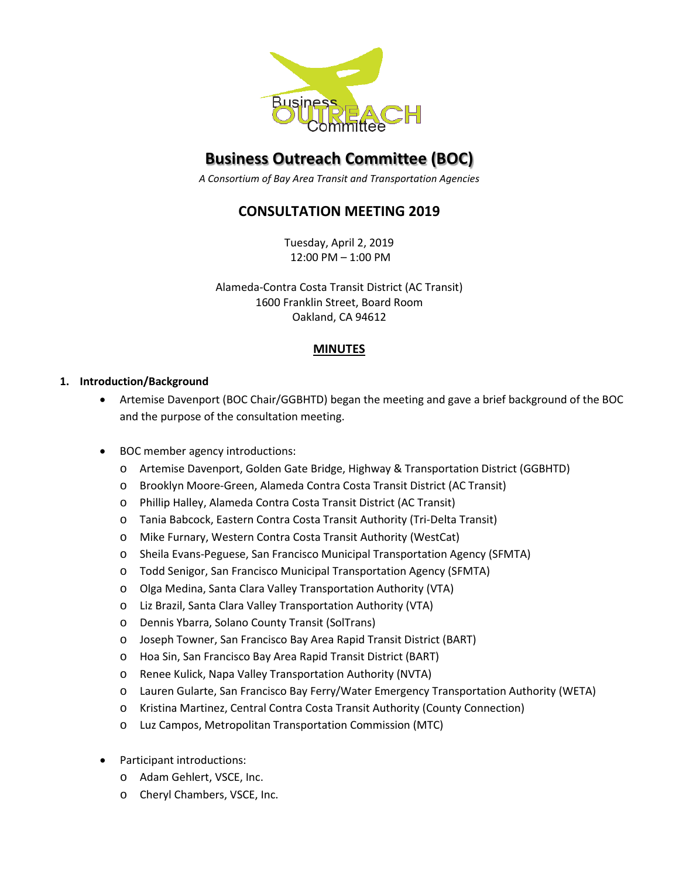

# **Business Outreach Committee (BOC)**

*A Consortium of Bay Area Transit and Transportation Agencies*

## **CONSULTATION MEETING 2019**

Tuesday, April 2, 2019 12:00 PM – 1:00 PM

Alameda-Contra Costa Transit District (AC Transit) 1600 Franklin Street, Board Room Oakland, CA 94612

### **MINUTES**

### **1. Introduction/Background**

- Artemise Davenport (BOC Chair/GGBHTD) began the meeting and gave a brief background of the BOC and the purpose of the consultation meeting.
- BOC member agency introductions:
	- o Artemise Davenport, Golden Gate Bridge, Highway & Transportation District (GGBHTD)
	- o Brooklyn Moore-Green, Alameda Contra Costa Transit District (AC Transit)
	- o Phillip Halley, Alameda Contra Costa Transit District (AC Transit)
	- o Tania Babcock, Eastern Contra Costa Transit Authority (Tri-Delta Transit)
	- o Mike Furnary, Western Contra Costa Transit Authority (WestCat)
	- o Sheila Evans-Peguese, San Francisco Municipal Transportation Agency (SFMTA)
	- o Todd Senigor, San Francisco Municipal Transportation Agency (SFMTA)
	- o Olga Medina, Santa Clara Valley Transportation Authority (VTA)
	- o Liz Brazil, Santa Clara Valley Transportation Authority (VTA)
	- o Dennis Ybarra, Solano County Transit (SolTrans)
	- o Joseph Towner, San Francisco Bay Area Rapid Transit District (BART)
	- o Hoa Sin, San Francisco Bay Area Rapid Transit District (BART)
	- o Renee Kulick, Napa Valley Transportation Authority (NVTA)
	- o Lauren Gularte, San Francisco Bay Ferry/Water Emergency Transportation Authority (WETA)
	- o Kristina Martinez, Central Contra Costa Transit Authority (County Connection)
	- o Luz Campos, Metropolitan Transportation Commission (MTC)
- Participant introductions:
	- o Adam Gehlert, VSCE, Inc.
	- o Cheryl Chambers, VSCE, Inc.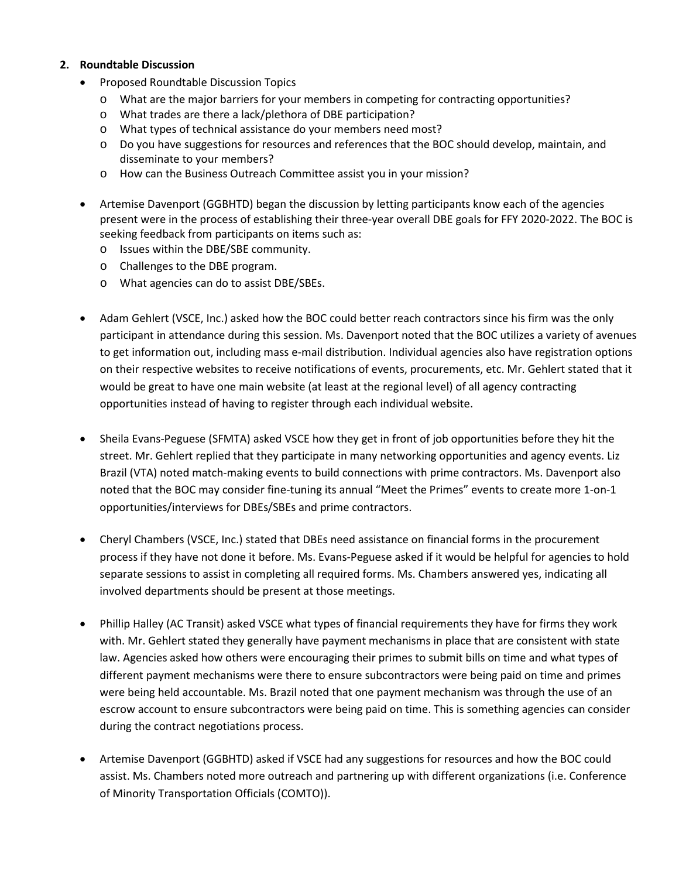#### **2. Roundtable Discussion**

- Proposed Roundtable Discussion Topics
	- o What are the major barriers for your members in competing for contracting opportunities?
	- o What trades are there a lack/plethora of DBE participation?
	- o What types of technical assistance do your members need most?
	- o Do you have suggestions for resources and references that the BOC should develop, maintain, and disseminate to your members?
	- o How can the Business Outreach Committee assist you in your mission?
- Artemise Davenport (GGBHTD) began the discussion by letting participants know each of the agencies present were in the process of establishing their three-year overall DBE goals for FFY 2020-2022. The BOC is seeking feedback from participants on items such as:
	- o Issues within the DBE/SBE community.
	- o Challenges to the DBE program.
	- o What agencies can do to assist DBE/SBEs.
- Adam Gehlert (VSCE, Inc.) asked how the BOC could better reach contractors since his firm was the only participant in attendance during this session. Ms. Davenport noted that the BOC utilizes a variety of avenues to get information out, including mass e-mail distribution. Individual agencies also have registration options on their respective websites to receive notifications of events, procurements, etc. Mr. Gehlert stated that it would be great to have one main website (at least at the regional level) of all agency contracting opportunities instead of having to register through each individual website.
- Sheila Evans-Peguese (SFMTA) asked VSCE how they get in front of job opportunities before they hit the street. Mr. Gehlert replied that they participate in many networking opportunities and agency events. Liz Brazil (VTA) noted match-making events to build connections with prime contractors. Ms. Davenport also noted that the BOC may consider fine-tuning its annual "Meet the Primes" events to create more 1-on-1 opportunities/interviews for DBEs/SBEs and prime contractors.
- Cheryl Chambers (VSCE, Inc.) stated that DBEs need assistance on financial forms in the procurement process if they have not done it before. Ms. Evans-Peguese asked if it would be helpful for agencies to hold separate sessions to assist in completing all required forms. Ms. Chambers answered yes, indicating all involved departments should be present at those meetings.
- Phillip Halley (AC Transit) asked VSCE what types of financial requirements they have for firms they work with. Mr. Gehlert stated they generally have payment mechanisms in place that are consistent with state law. Agencies asked how others were encouraging their primes to submit bills on time and what types of different payment mechanisms were there to ensure subcontractors were being paid on time and primes were being held accountable. Ms. Brazil noted that one payment mechanism was through the use of an escrow account to ensure subcontractors were being paid on time. This is something agencies can consider during the contract negotiations process.
- Artemise Davenport (GGBHTD) asked if VSCE had any suggestions for resources and how the BOC could assist. Ms. Chambers noted more outreach and partnering up with different organizations (i.e. Conference of Minority Transportation Officials (COMTO)).